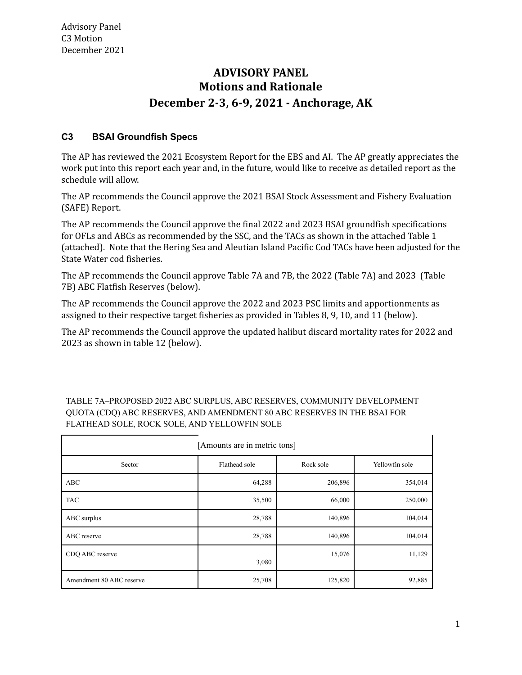# **ADVISORY PANEL Motions and Rationale December 2-3, 6-9, 2021 - Anchorage, AK**

## **C3 BSAI Groundfish Specs**

The AP has reviewed the 2021 Ecosystem Report for the EBS and AI. The AP greatly appreciates the work put into this report each year and, in the future, would like to receive as detailed report as the schedule will allow.

The AP recommends the Council approve the 2021 BSAI Stock Assessment and Fishery Evaluation (SAFE) Report.

The AP recommends the Council approve the final 2022 and 2023 BSAI groundfish specifications for OFLs and ABCs as recommended by the SSC, and the TACs as shown in the attached Table 1 (attached). Note that the Bering Sea and Aleutian Island Pacific Cod TACs have been adjusted for the State Water cod fisheries.

The AP recommends the Council approve Table 7A and 7B, the 2022 (Table 7A) and 2023 (Table 7B) ABC Flatfish Reserves (below).

The AP recommends the Council approve the 2022 and 2023 PSC limits and apportionments as assigned to their respective target fisheries as provided in Tables 8, 9, 10, and 11 (below).

The AP recommends the Council approve the updated halibut discard mortality rates for 2022 and 2023 as shown in table 12 (below).

| [Amounts are in metric tons] |               |           |                |  |  |  |  |  |
|------------------------------|---------------|-----------|----------------|--|--|--|--|--|
| Sector                       | Flathead sole | Rock sole | Yellowfin sole |  |  |  |  |  |
| ABC                          | 64,288        | 206,896   | 354,014        |  |  |  |  |  |
| <b>TAC</b>                   | 35,500        | 66,000    | 250,000        |  |  |  |  |  |
| ABC surplus                  | 28,788        | 140,896   | 104,014        |  |  |  |  |  |
| ABC reserve                  | 28,788        | 140,896   | 104,014        |  |  |  |  |  |
| CDQ ABC reserve              | 3,080         | 15,076    | 11,129         |  |  |  |  |  |
| Amendment 80 ABC reserve     | 25,708        | 125,820   | 92,885         |  |  |  |  |  |

TABLE 7A–PROPOSED 2022 ABC SURPLUS, ABC RESERVES, COMMUNITY DEVELOPMENT QUOTA (CDQ) ABC RESERVES, AND AMENDMENT 80 ABC RESERVES IN THE BSAI FOR FLATHEAD SOLE, ROCK SOLE, AND YELLOWFIN SOLE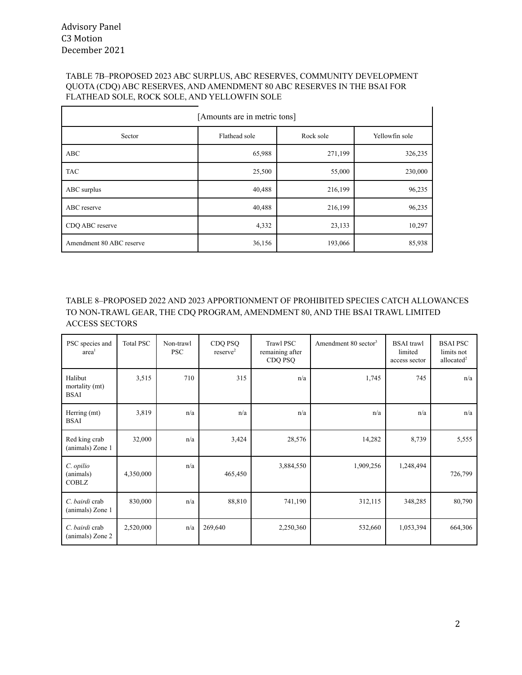#### TABLE 7B–PROPOSED 2023 ABC SURPLUS, ABC RESERVES, COMMUNITY DEVELOPMENT QUOTA (CDQ) ABC RESERVES, AND AMENDMENT 80 ABC RESERVES IN THE BSAI FOR FLATHEAD SOLE, ROCK SOLE, AND YELLOWFIN SOLE

| [Amounts are in metric tons] |               |           |                |  |  |  |  |  |
|------------------------------|---------------|-----------|----------------|--|--|--|--|--|
| Sector                       | Flathead sole | Rock sole | Yellowfin sole |  |  |  |  |  |
| ABC                          | 65,988        | 271,199   | 326,235        |  |  |  |  |  |
| <b>TAC</b>                   | 25,500        | 55,000    | 230,000        |  |  |  |  |  |
| ABC surplus                  | 40,488        | 216,199   | 96,235         |  |  |  |  |  |
| ABC reserve                  | 40,488        | 216,199   | 96,235         |  |  |  |  |  |
| CDQ ABC reserve              | 4,332         | 23,133    | 10,297         |  |  |  |  |  |
| Amendment 80 ABC reserve     | 36,156        | 193,066   | 85,938         |  |  |  |  |  |

TABLE 8–PROPOSED 2022 AND 2023 APPORTIONMENT OF PROHIBITED SPECIES CATCH ALLOWANCES TO NON-TRAWL GEAR, THE CDQ PROGRAM, AMENDMENT 80, AND THE BSAI TRAWL LIMITED ACCESS SECTORS

| PSC species and<br>area <sup>1</sup>     | <b>Total PSC</b> | Non-trawl<br><b>PSC</b> | CDQ PSQ<br>reserve <sup>2</sup> | Trawl PSC<br>remaining after<br>CDQ PSQ | Amendment $80$ sector <sup>3</sup> | <b>BSAI</b> trawl<br>limited<br>access sector | <b>BSAI PSC</b><br>limits not<br>allocated $2$ |
|------------------------------------------|------------------|-------------------------|---------------------------------|-----------------------------------------|------------------------------------|-----------------------------------------------|------------------------------------------------|
| Halibut<br>mortality (mt)<br><b>BSAI</b> | 3,515            | 710                     | 315                             | n/a                                     | 1,745                              | 745                                           | n/a                                            |
| Herring (mt)<br><b>BSAI</b>              | 3,819            | n/a                     | n/a                             | n/a                                     | n/a                                | n/a                                           | n/a                                            |
| Red king crab<br>(animals) Zone 1        | 32,000           | n/a                     | 3,424                           | 28,576                                  | 14,282                             | 8,739                                         | 5,555                                          |
| C. opilio<br>(animals)<br><b>COBLZ</b>   | 4,350,000        | n/a                     | 465,450                         | 3,884,550                               | 1,909,256                          | 1,248,494                                     | 726,799                                        |
| C. bairdi crab<br>(animals) Zone 1       | 830,000          | n/a                     | 88,810                          | 741,190                                 | 312,115                            | 348,285                                       | 80,790                                         |
| C. bairdi crab<br>(animals) Zone 2       | 2,520,000        | n/a                     | 269,640                         | 2,250,360                               | 532,660                            | 1,053,394                                     | 664,306                                        |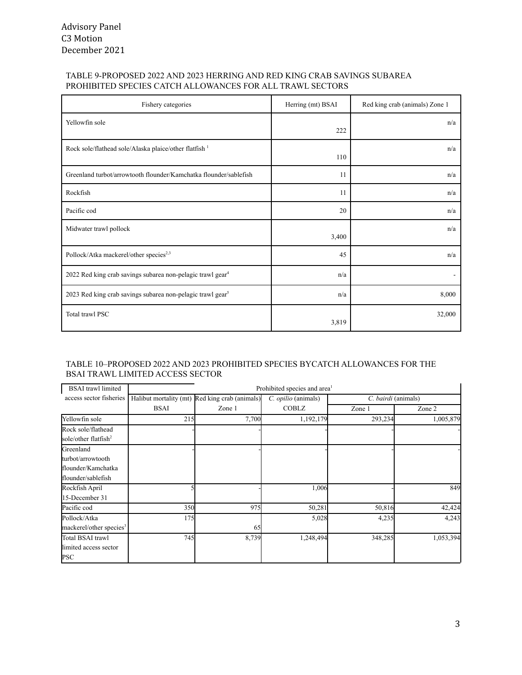#### TABLE 9-PROPOSED 2022 AND 2023 HERRING AND RED KING CRAB SAVINGS SUBAREA PROHIBITED SPECIES CATCH ALLOWANCES FOR ALL TRAWL SECTORS

| Fishery categories                                                     | Herring (mt) BSAI | Red king crab (animals) Zone 1 |
|------------------------------------------------------------------------|-------------------|--------------------------------|
| Yellowfin sole                                                         | 222               | n/a                            |
| Rock sole/flathead sole/Alaska plaice/other flatfish 1                 | 110               | n/a                            |
| Greenland turbot/arrowtooth flounder/Kamchatka flounder/sablefish      | 11                | n/a                            |
| Rockfish                                                               | 11                | n/a                            |
| Pacific cod                                                            | 20                | n/a                            |
| Midwater trawl pollock                                                 | 3,400             | n/a                            |
| Pollock/Atka mackerel/other species <sup>2,3</sup>                     | 45                | n/a                            |
| 2022 Red king crab savings subarea non-pelagic trawl gear <sup>4</sup> | n/a               |                                |
| 2023 Red king crab savings subarea non-pelagic trawl gear <sup>5</sup> | n/a               | 8,000                          |
| Total trawl PSC                                                        | 3,819             | 32,000                         |

#### TABLE 10–PROPOSED 2022 AND 2023 PROHIBITED SPECIES BYCATCH ALLOWANCES FOR THE BSAI TRAWL LIMITED ACCESS SECTOR

| <b>BSAI</b> trawl limited           | Prohibited species and area <sup>1</sup>                                                     |        |              |         |           |  |  |  |
|-------------------------------------|----------------------------------------------------------------------------------------------|--------|--------------|---------|-----------|--|--|--|
| access sector fisheries             | Halibut mortality (mt) Red king crab (animals)<br>C. bairdi (animals)<br>C. opilio (animals) |        |              |         |           |  |  |  |
|                                     | <b>BSAI</b>                                                                                  | Zone 1 | <b>COBLZ</b> | Zone 1  | Zone 2    |  |  |  |
| Yellowfin sole                      | 215                                                                                          | 7,700  | 1,192,179    | 293,234 | 1,005,879 |  |  |  |
| Rock sole/flathead                  |                                                                                              |        |              |         |           |  |  |  |
| sole/other flatfish <sup>2</sup>    |                                                                                              |        |              |         |           |  |  |  |
| Greenland                           |                                                                                              |        |              |         |           |  |  |  |
| turbot/arrowtooth                   |                                                                                              |        |              |         |           |  |  |  |
| flounder/Kamchatka                  |                                                                                              |        |              |         |           |  |  |  |
| flounder/sablefish                  |                                                                                              |        |              |         |           |  |  |  |
| Rockfish April                      |                                                                                              |        | 1,006        |         | 849       |  |  |  |
| 15-December 31                      |                                                                                              |        |              |         |           |  |  |  |
| Pacific cod                         | <b>350</b>                                                                                   | 975    | 50,281       | 50,816  | 42,424    |  |  |  |
| Pollock/Atka                        | 175                                                                                          |        | 5,028        | 4,235   | 4,243     |  |  |  |
| mackerel/other species <sup>3</sup> |                                                                                              | 65     |              |         |           |  |  |  |
| Total BSAI trawl                    | 745                                                                                          | 8,739  | 1,248,494    | 348,285 | 1,053,394 |  |  |  |
| limited access sector               |                                                                                              |        |              |         |           |  |  |  |
| PSC                                 |                                                                                              |        |              |         |           |  |  |  |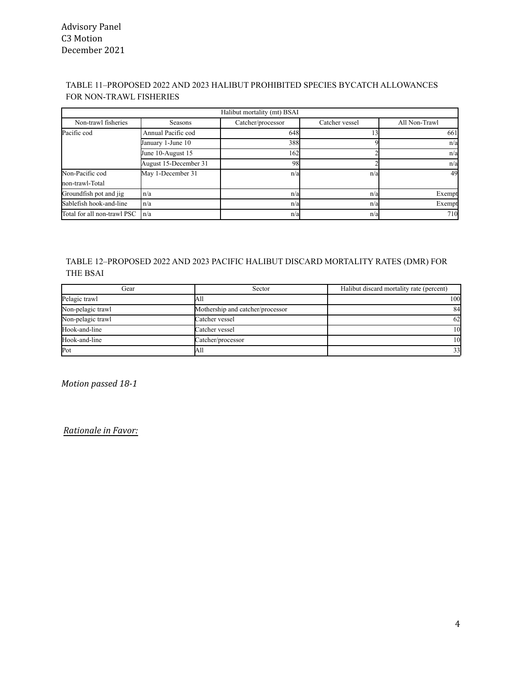### TABLE 11–PROPOSED 2022 AND 2023 HALIBUT PROHIBITED SPECIES BYCATCH ALLOWANCES FOR NON-TRAWL FISHERIES

| Halibut mortality (mt) BSAI |                       |                   |                |               |  |  |  |  |  |
|-----------------------------|-----------------------|-------------------|----------------|---------------|--|--|--|--|--|
| Non-trawl fisheries         | Seasons               | Catcher/processor | Catcher vessel | All Non-Trawl |  |  |  |  |  |
| Pacific cod                 | Annual Pacific cod    | 648               |                | 661           |  |  |  |  |  |
|                             | January 1-June 10     | 388               |                | n/a           |  |  |  |  |  |
|                             | June 10-August 15     | 162               |                | n/a           |  |  |  |  |  |
|                             | August 15-December 31 | 98                |                | n/a           |  |  |  |  |  |
| Non-Pacific cod             | May 1-December 31     | n/al              | n/a            | 49            |  |  |  |  |  |
| non-trawl-Total             |                       |                   |                |               |  |  |  |  |  |
| Groundfish pot and jig      | n/a                   | n/a               | n/a            | Exempt        |  |  |  |  |  |
| Sablefish hook-and-line     | n/a                   | n/a               | n/a            | Exempt        |  |  |  |  |  |
| Total for all non-trawl PSC | l n/a                 | n/a               | n/a            | 710           |  |  |  |  |  |

#### TABLE 12–PROPOSED 2022 AND 2023 PACIFIC HALIBUT DISCARD MORTALITY RATES (DMR) FOR THE BSAI

| Gear              | Sector                           | Halibut discard mortality rate (percent) |  |  |
|-------------------|----------------------------------|------------------------------------------|--|--|
| Pelagic trawl     | All                              | 100                                      |  |  |
| Non-pelagic trawl | Mothership and catcher/processor | 84                                       |  |  |
| Non-pelagic trawl | Catcher vessel                   | 62                                       |  |  |
| Hook-and-line     | Catcher vessel                   | 10                                       |  |  |
| Hook-and-line     | Catcher/processor                | 10                                       |  |  |
| Pot               | All                              | 33                                       |  |  |

*Motion passed 18-1*

*Rationale in Favor:*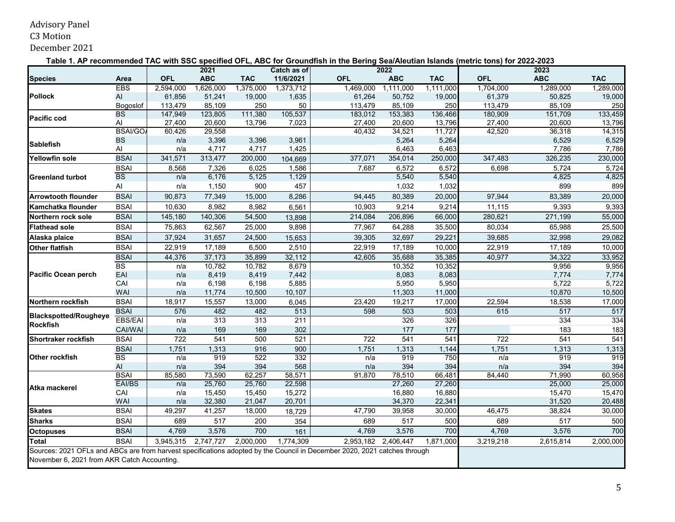# Advisory Panel

C3 Motion

December 2021

**Table 1. AP recommended TAC with SSC specified OFL, ABC for Groundfish in the Bering Sea/Aleutian Islands (metric tons) for 2022-2023**

|                                                                                                                                                                          |                   |                | 2021             |                  | Catch as of      |            | 2022             |                  |            | 2023             |                  |
|--------------------------------------------------------------------------------------------------------------------------------------------------------------------------|-------------------|----------------|------------------|------------------|------------------|------------|------------------|------------------|------------|------------------|------------------|
| <b>Species</b>                                                                                                                                                           | Area              | <b>OFL</b>     | <b>ABC</b>       | <b>TAC</b>       | 11/6/2021        | <b>OFL</b> | <b>ABC</b>       | <b>TAC</b>       | <b>OFL</b> | <b>ABC</b>       | <b>TAC</b>       |
|                                                                                                                                                                          | <b>EBS</b>        | 2,594,000      | 1,626,000        | 1,375,000        | 1,373,712        | 1,469,000  | 1,111,000        | 1,111,000        | 1,704,000  | 1,289,000        | 1,289,000        |
| <b>Pollock</b>                                                                                                                                                           | AI                | 61,856         | 51,241           | 19,000           | 1,635            | 61,264     | 50,752           | 19,000           | 61,379     | 50,825           | 19,000           |
|                                                                                                                                                                          | Bogoslof          | 113,479        | 85,109           | 250              | 50               | 113,479    | 85,109           | 250              | 113,479    | 85,109           | 250              |
| <b>Pacific cod</b>                                                                                                                                                       | <b>BS</b>         | 147,949        | 123,805          | 111,380          | 105,537          | 183,012    | 153,383          | 136,466          | 180,909    | 151,709          | 133,459          |
|                                                                                                                                                                          | Al                | 27,400         | 20,600           | 13,796           | 7,023            | 27,400     | 20,600           | 13,796           | 27,400     | 20,600           | 13,796           |
|                                                                                                                                                                          | BSAI/GO           | 60,426         | 29,558           |                  |                  | 40,432     | 34,521           | 11,727           | 42,520     | 36,318           | 14,315           |
| <b>Sablefish</b>                                                                                                                                                         | <b>BS</b>         | n/a            | 3,396            | 3,396            | 3,961            |            | 5,264            | 5,264            |            | 6,529            | 6,529            |
|                                                                                                                                                                          | AI<br><b>BSAI</b> | n/a<br>341,571 | 4,717<br>313,477 | 4,717            | 1,425            | 377,071    | 6,463<br>354,014 | 6,463<br>250,000 | 347,483    | 7,786<br>326,235 | 7,786<br>230,000 |
| Yellowfin sole                                                                                                                                                           |                   |                |                  | 200,000          | 104,669          |            |                  |                  |            |                  |                  |
|                                                                                                                                                                          | <b>BSAI</b>       | 8,568          | 7,326            | 6,025            | 1,586            | 7,687      | 6,572            | 6,572            | 6,698      | 5,724            | 5,724            |
| <b>Greenland turbot</b>                                                                                                                                                  | $\overline{BS}$   | n/a            | 6,176            | 5,125            | 1,129            |            | 5,540            | 5,540            |            | 4,825            | 4,825            |
|                                                                                                                                                                          | Al                | n/a            | 1,150            | 900              | 457              |            | 1,032            | 1,032            |            | 899              | 899              |
| <b>Arrowtooth flounder</b>                                                                                                                                               | <b>BSAI</b>       | 90,873         | 77,349           | 15,000           | 8,286            | 94,445     | 80,389           | 20,000           | 97,944     | 83,389           | 20,000           |
| Kamchatka flounder                                                                                                                                                       | <b>BSAI</b>       | 10,630         | 8,982            | 8,982            | 6,561            | 10,903     | 9,214            | 9,214            | 11,115     | 9,393            | 9,393            |
| Northern rock sole                                                                                                                                                       | <b>BSAI</b>       | 145,180        | 140,306          | 54,500           | 13,898           | 214,084    | 206,896          | 66,000           | 280,621    | 271,199          | 55,000           |
| <b>Flathead sole</b>                                                                                                                                                     | <b>BSAI</b>       | 75,863         | 62,567           | 25,000           | 9,898            | 77,967     | 64,288           | 35,500           | 80,034     | 65,988           | 25,500           |
| Alaska plaice                                                                                                                                                            | <b>BSAI</b>       | 37,924         | 31,657           | 24,500           | 15,653           | 39,305     | 32,697           | 29,221           | 39,685     | 32,998           | 29,082           |
| <b>Other flatfish</b>                                                                                                                                                    | <b>BSAI</b>       | 22,919         | 17,189           | 6,500            | 2,510            | 22,919     | 17,189           | 10,000           | 22,919     | 17,189           | 10,000           |
|                                                                                                                                                                          | <b>BSAI</b>       | 44,376         | 37,173           | 35,899           | 32,112           | 42,605     | 35,688           | 35,385           | 40,977     | 34,322           | 33,952           |
|                                                                                                                                                                          | <b>BS</b>         | n/a            | 10,782           | 10,782           | 8,679            |            | 10,352           | 10,352           |            | 9,956            | 9,956            |
| <b>Pacific Ocean perch</b>                                                                                                                                               | EAI               | n/a            | 8,419            | 8,419            | 7,442            |            | 8,083            | 8,083            |            | 7,774            | 7,774            |
|                                                                                                                                                                          | CAI               | n/a            | 6,198            | 6,198            | 5,885            |            | 5,950            | 5,950            |            | 5,722            | 5,722            |
|                                                                                                                                                                          | <b>WAI</b>        | n/a            | 11,774           | 10,500           | 10,107           |            | 11,303           | 11,000           |            | 10,870           | 10,500           |
| Northern rockfish                                                                                                                                                        | <b>BSAI</b>       | 18,917         | 15,557           | 13,000           | 6,045            | 23,420     | 19,217           | 17,000           | 22,594     | 18,538           | 17,000           |
| <b>Blackspotted/Rougheye</b>                                                                                                                                             | <b>BSAI</b>       | 576            | 482              | 482              | 513              | 598        | 503              | 503              | 615        | 517              | 517              |
| <b>Rockfish</b>                                                                                                                                                          | <b>EBS/EAI</b>    | n/a            | 313              | 313              | 211              |            | 326              | 326              |            | 334              | 334              |
|                                                                                                                                                                          | CAI/WAI           | n/a            | 169              | 169              | 302              |            | 177              | 177              |            | 183              | 183              |
| <b>Shortraker rockfish</b>                                                                                                                                               | <b>BSAI</b>       | 722            | 541              | 500              | 521              | 722        | 541              | 541              | 722        | 541              | 541              |
|                                                                                                                                                                          | <b>BSAI</b>       | 1,751          | 1,313            | 916              | 900              | 1,751      | 1,313            | 1,144            | 1,751      | 1,313            | 1,313            |
| Other rockfish                                                                                                                                                           | <b>BS</b>         | n/a            | 919              | 522              | 332              | n/a        | 919              | 750              | n/a        | 919              | 919              |
|                                                                                                                                                                          | AI                | n/a            | 394              | 394              | 568              | n/a        | 394              | 394              | n/a        | 394              | 394              |
|                                                                                                                                                                          | <b>BSAI</b>       | 85,580         | 73,590           | 62,257           | 58,571           | 91,870     | 78,510           | 66,481           | 84,440     | 71,990           | 60,958           |
| Atka mackerel                                                                                                                                                            | EAI/BS            | n/a            | 25,760           | 25,760           | 22,598           |            | 27,260           | 27,260           |            | 25,000           | 25,000           |
|                                                                                                                                                                          | CAI<br><b>WAI</b> | n/a<br>n/a     | 15,450<br>32,380 | 15,450<br>21,047 | 15,272<br>20,701 |            | 16,880<br>34,370 | 16,880<br>22,341 |            | 15,470<br>31,520 | 15,470<br>20,488 |
| <b>Skates</b>                                                                                                                                                            | <b>BSAI</b>       | 49,297         | 41,257           | 18,000           |                  | 47,790     | 39,958           | 30,000           | 46,475     | 38,824           | 30,000           |
|                                                                                                                                                                          |                   |                |                  |                  | 18,729           |            |                  |                  |            |                  |                  |
| <b>Sharks</b>                                                                                                                                                            | <b>BSAI</b>       | 689            | 517              | 200              | 354              | 689        | 517              | 500              | 689        | 517              | 500              |
| <b>Octopuses</b>                                                                                                                                                         | <b>BSAI</b>       | 4,769          | 3,576            | 700              | 161              | 4,769      | 3,576            | 700              | 4,769      | 3,576            | 700              |
| <b>Total</b>                                                                                                                                                             | <b>BSAI</b>       | 3,945,315      | 2,747,727        | 2,000,000        | 1,774,309        | 2,953,182  | 2,406,447        | 1,871,000        | 3,219,218  | 2,615,814        | 2,000,000        |
| Sources: 2021 OFLs and ABCs are from harvest specifications adopted by the Council in December 2020, 2021 catches through<br>November 6, 2021 from AKR Catch Accounting. |                   |                |                  |                  |                  |            |                  |                  |            |                  |                  |